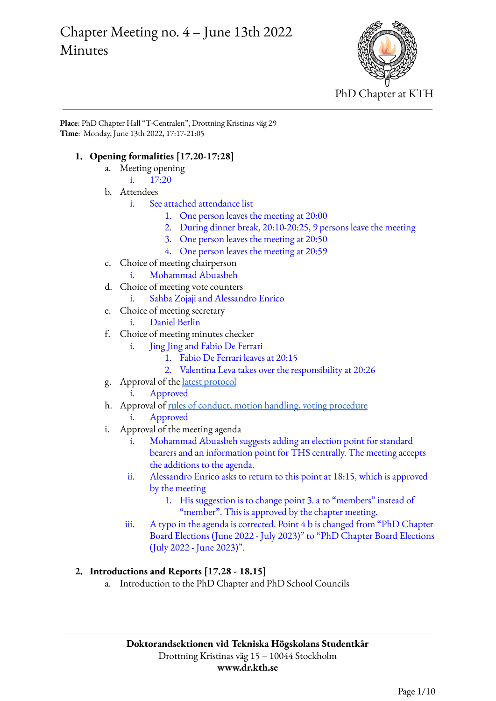# Chapter Meeting no. 4 – June 13th 2022 Minutes



**Place**: PhD Chapter Hall "T-Centralen", Drottning Kristinas väg 29 **Time**: Monday, June 13th 2022, 17:17-21:05

### **1. Opening formalities [17.20-17:28]**

- a. Meeting opening
	- i. 17:20
- b. Attendees
	- i. See attached attendance list
		- 1. One person leaves the meeting at 20:00
		- 2. During dinner break, 20:10-20:25, 9 persons leave the meeting
		- 3. One person leaves the meeting at 20:50
		- 4. One person leaves the meeting at 20:59
- c. Choice of meeting chairperson
- i. Mohammad Abuasbeh
- d. Choice of meeting vote counters
	- i. Sahba Zojaji and Alessandro Enrico
- e. Choice of meeting secretary
	- i. Daniel Berlin
- f. Choice of meeting minutes checker
	- i. Jing Jing and Fabio De Ferrari
		- 1. Fabio De Ferrari leaves at 20:15
		- 2. Valentina Leva takes over the responsibility at 20:26
- g. Approval of the latest [protocol](https://drive.google.com/file/d/1Sig55cqfdN1RJOLsDQZUQKztnZSc3ArX/view?usp=sharing)
	- i. Approved
- h. Approval of rules of conduct, motion handling, voting [procedure](https://www.dr.kth.se/wp-content/uploads/sites/6/2021/11/Chapter-meeting-20211111-Rules-of-conduct-and-voting-criteria.pdf) Approved
- i. Approval of the meeting agenda
	- Mohammad Abuasbeh suggests adding an election point for standard bearers and an information point for THS centrally. The meeting accepts the additions to the agenda.
	- ii. Alessandro Enrico asks to return to this point at 18:15, which is approved by the meeting
		- 1. His suggestion is to change point 3. a to "members" instead of "member". This is approved by the chapter meeting.
	- iii. A typo in the agenda is corrected. Point 4 b is changed from "PhD Chapter Board Elections (June 2022 - July 2023)" to "PhD Chapter Board Elections (July 2022 - June 2023)".

#### **2. Introductions and Reports [17.28 - 18.15]**

a. Introduction to the PhD Chapter and PhD School Councils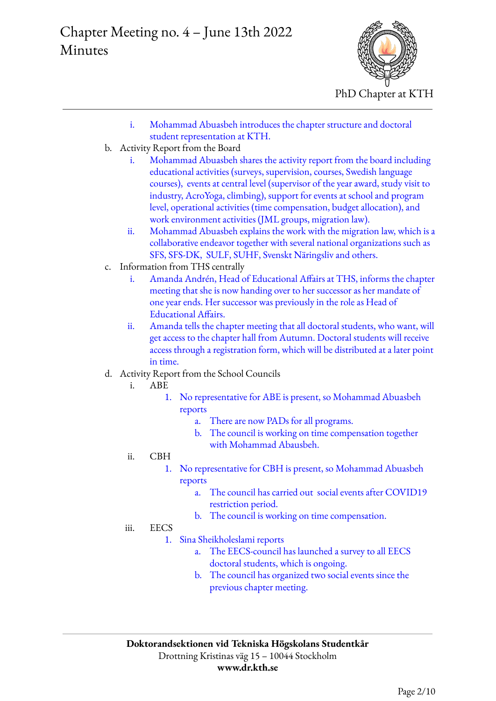

- i. Mohammad Abuasbeh introduces the chapter structure and doctoral student representation at KTH.
- b. Activity Report from the Board
	- i. Mohammad Abuasbeh shares the activity report from the board including educational activities (surveys, supervision, courses, Swedish language courses), events at central level (supervisor of the year award, study visit to industry, AcroYoga, climbing), support for events at school and program level, operational activities (time compensation, budget allocation), and work environment activities (JML groups, migration law).
	- ii. Mohammad Abuasbeh explains the work with the migration law, which is a collaborative endeavor together with several national organizations such as SFS, SFS-DK, SULF, SUHF, Svenskt Näringsliv and others.
- c. Information from THS centrally
	- i. Amanda Andrén, Head of Educational Affairs at THS, informs the chapter meeting that she is now handing over to her successor as her mandate of one year ends. Her successor was previously in the role as Head of Educational Affairs.
	- ii. Amanda tells the chapter meeting that all doctoral students, who want, will get access to the chapter hall from Autumn. Doctoral students will receive access through a registration form, which will be distributed at a later point in time.
- d. Activity Report from the School Councils
	- i. ABE
		- 1. No representative for ABE is present, so Mohammad Abuasbeh reports
			- a. There are now PADs for all programs.
			- b. The council is working on time compensation together with Mohammad Abausbeh.
	- ii. CBH
		- 1. No representative for CBH is present, so Mohammad Abuasbeh reports
			- a. The council has carried out social events after COVID19 restriction period.
			- b. The council is working on time compensation.
	- iii. EECS
		- 1. Sina Sheikholeslami reports
			- a. The EECS-council has launched a survey to all EECS doctoral students, which is ongoing.
			- b. The council has organized two social events since the previous chapter meeting.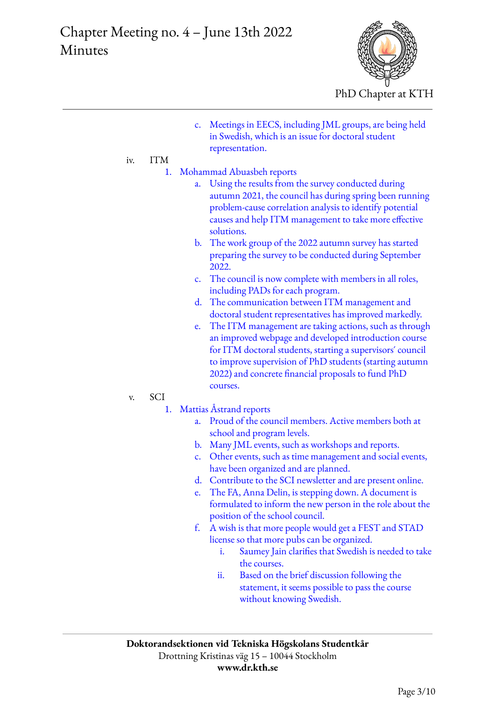

c. Meetings in EECS, including JML groups, are being held in Swedish, which is an issue for doctoral student representation.

### iv. ITM

- 1. Mohammad Abuasbeh reports
	- a. Using the results from the survey conducted during autumn 2021, the council has during spring been running problem-cause correlation analysis to identify potential causes and help ITM management to take more effective solutions.
	- b. The work group of the 2022 autumn survey has started preparing the survey to be conducted during September 2022.
	- c. The council is now complete with members in all roles, including PADs for each program.
	- d. The communication between ITM management and doctoral student representatives has improved markedly.
	- e. The ITM management are taking actions, such as through an improved webpage and developed introduction course for ITM doctoral students, starting a supervisors´ council to improve supervision of PhD students (starting autumn 2022) and concrete financial proposals to fund PhD courses.

#### v. SCI

- 1. Mattias Åstrand reports
	- a. Proud of the council members. Active members both at school and program levels.
	- b. Many JML events, such as workshops and reports.
	- c. Other events, such as time management and social events, have been organized and are planned.
	- d. Contribute to the SCI newsletter and are present online.
	- e. The FA, Anna Delin, is stepping down. A document is formulated to inform the new person in the role about the position of the school council.
	- f. A wish is that more people would get a FEST and STAD license so that more pubs can be organized.
		- i. Saumey Jain clarifies that Swedish is needed to take the courses.
		- ii. Based on the brief discussion following the statement, it seems possible to pass the course without knowing Swedish.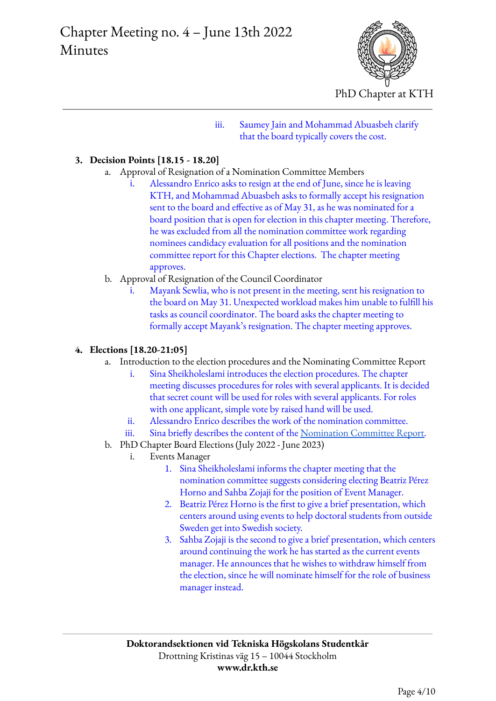

iii. Saumey Jain and Mohammad Abuasbeh clarify that the board typically covers the cost.

#### **3. Decision Points [18.15 - 18.20]**

- a. Approval of Resignation of a Nomination Committee Members
	- i. Alessandro Enrico asks to resign at the end of June, since he is leaving KTH, and Mohammad Abuasbeh asks to formally accept his resignation sent to the board and effective as of May 31, as he was nominated for a board position that is open for election in this chapter meeting. Therefore, he was excluded from all the nomination committee work regarding nominees candidacy evaluation for all positions and the nomination committee report for this Chapter elections. The chapter meeting approves.
- b. Approval of Resignation of the Council Coordinator
	- i. Mayank Sewlia, who is not present in the meeting, sent his resignation to the board on May 31. Unexpected workload makes him unable to fulfill his tasks as council coordinator. The board asks the chapter meeting to formally accept Mayank's resignation. The chapter meeting approves.

#### **4. Elections [18.20-21:05]**

- a. Introduction to the election procedures and the Nominating Committee Report
	- i. Sina Sheikholeslami introduces the election procedures. The chapter meeting discusses procedures for roles with several applicants. It is decided that secret count will be used for roles with several applicants. For roles with one applicant, simple vote by raised hand will be used.
	- ii. Alessandro Enrico describes the work of the nomination committee.
	- iii. Sina briefly describes the content of the [Nomination](https://www.dr.kth.se/wp-content/uploads/sites/6/2022/06/Dr2022-CF-03-M4V0-Nominating-Committee-Report.pdf) Committee Report.
	- b. PhD Chapter Board Elections (July 2022 June 2023)
		- i. Events Manager
			- 1. Sina Sheikholeslami informs the chapter meeting that the nomination committee suggests considering electing Beatriz Pérez Horno and Sahba Zojaji for the position of Event Manager.
			- 2. Beatriz Pérez Horno is the first to give a brief presentation, which centers around using events to help doctoral students from outside Sweden get into Swedish society.
			- 3. Sahba Zojaji is the second to give a brief presentation, which centers around continuing the work he has started as the current events manager. He announces that he wishes to withdraw himself from the election, since he will nominate himself for the role of business manager instead.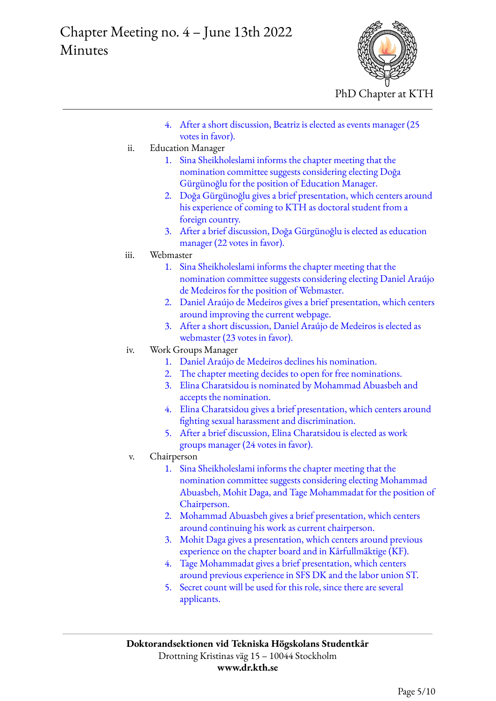

- 4. After a short discussion, Beatriz is elected as events manager (25 votes in favor).
- ii. Education Manager
	- 1. Sina Sheikholeslami informs the chapter meeting that the nomination committee suggests considering electing Doğa Gürgünoğlu for the position of Education Manager.
	- 2. Doğa Gürgünoğlu gives a brief presentation, which centers around his experience of coming to KTH as doctoral student from a foreign country.
	- 3. After a brief discussion, Doğa Gürgünoğlu is elected as education manager (22 votes in favor).
- iii. Webmaster
	- 1. Sina Sheikholeslami informs the chapter meeting that the nomination committee suggests considering electing Daniel Araújo de Medeiros for the position of Webmaster.
	- 2. Daniel Araújo de Medeiros gives a brief presentation, which centers around improving the current webpage.
	- 3. After a short discussion, Daniel Araújo de Medeiros is elected as webmaster (23 votes in favor).
- iv. Work Groups Manager
	- 1. Daniel Araújo de Medeiros declines his nomination.
	- 2. The chapter meeting decides to open for free nominations.
	- 3. Elina Charatsidou is nominated by Mohammad Abuasbeh and accepts the nomination.
	- 4. Elina Charatsidou gives a brief presentation, which centers around fighting sexual harassment and discrimination.
	- 5. After a brief discussion, Elina Charatsidou is elected as work groups manager (24 votes in favor).
- v. Chairperson
	- 1. Sina Sheikholeslami informs the chapter meeting that the nomination committee suggests considering electing Mohammad Abuasbeh, Mohit Daga, and Tage Mohammadat for the position of Chairperson.
	- 2. Mohammad Abuasbeh gives a brief presentation, which centers around continuing his work as current chairperson.
	- 3. Mohit Daga gives a presentation, which centers around previous experience on the chapter board and in Kårfullmäktige (KF).
	- 4. Tage Mohammadat gives a brief presentation, which centers around previous experience in SFS DK and the labor union ST.
	- 5. Secret count will be used for this role, since there are several applicants.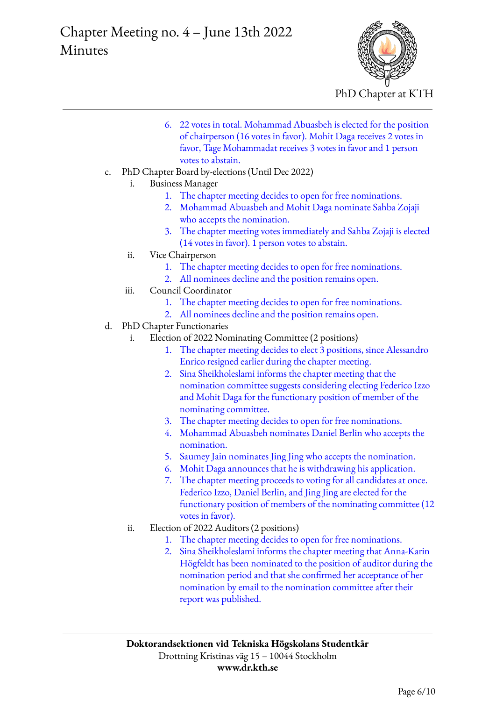

- 6. 22 votes in total. Mohammad Abuasbeh is elected for the position of chairperson (16 votes in favor). Mohit Daga receives 2 votes in favor, Tage Mohammadat receives 3 votes in favor and 1 person votes to abstain.
- c. PhD Chapter Board by-elections (Until Dec 2022)
	- i. Business Manager
		- 1. The chapter meeting decides to open for free nominations.
		- 2. Mohammad Abuasbeh and Mohit Daga nominate Sahba Zojaji who accepts the nomination.
		- 3. The chapter meeting votes immediately and Sahba Zojaji is elected (14 votes in favor). 1 person votes to abstain.
	- ii. Vice Chairperson
		- 1. The chapter meeting decides to open for free nominations.
		- 2. All nominees decline and the position remains open.
	- iii. Council Coordinator
		- 1. The chapter meeting decides to open for free nominations.
		- 2. All nominees decline and the position remains open.
- d. PhD Chapter Functionaries
	- i. Election of 2022 Nominating Committee (2 positions)
		- 1. The chapter meeting decides to elect 3 positions, since Alessandro Enrico resigned earlier during the chapter meeting.
		- 2. Sina Sheikholeslami informs the chapter meeting that the nomination committee suggests considering electing Federico Izzo and Mohit Daga for the functionary position of member of the nominating committee.
		- 3. The chapter meeting decides to open for free nominations.
		- 4. Mohammad Abuasbeh nominates Daniel Berlin who accepts the nomination.
		- 5. Saumey Jain nominates Jing Jing who accepts the nomination.
		- 6. Mohit Daga announces that he is withdrawing his application.
		- 7. The chapter meeting proceeds to voting for all candidates at once. Federico Izzo, Daniel Berlin, and Jing Jing are elected for the functionary position of members of the nominating committee (12 votes in favor).
	- ii. Election of 2022 Auditors (2 positions)
		- 1. The chapter meeting decides to open for free nominations.
		- 2. Sina Sheikholeslami informs the chapter meeting that Anna-Karin Högfeldt has been nominated to the position of auditor during the nomination period and that she confirmed her acceptance of her nomination by email to the nomination committee after their report was published.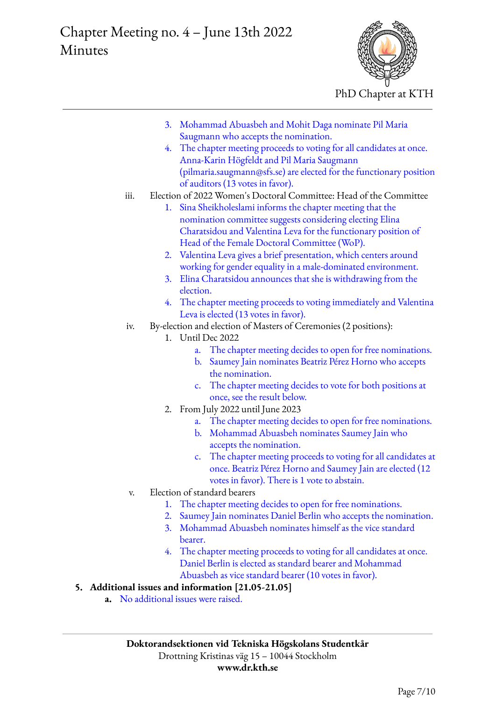

- 3. Mohammad Abuasbeh and Mohit Daga nominate Pil Maria Saugmann who accepts the nomination.
- 4. The chapter meeting proceeds to voting for all candidates at once. Anna-Karin Högfeldt and Pil Maria Saugmann (pilmaria.saugmann@sfs.se) are elected for the functionary position of auditors (13 votes in favor).
- iii. Election of 2022 Women's Doctoral Committee: Head of the Committee
	- 1. Sina Sheikholeslami informs the chapter meeting that the nomination committee suggests considering electing Elina Charatsidou and Valentina Leva for the functionary position of Head of the Female Doctoral Committee (WoP).
	- 2. Valentina Leva gives a brief presentation, which centers around working for gender equality in a male-dominated environment.
	- 3. Elina Charatsidou announces that she is withdrawing from the election.
	- 4. The chapter meeting proceeds to voting immediately and Valentina Leva is elected (13 votes in favor).
- iv. By-election and election of Masters of Ceremonies (2 positions):
	- 1. Until Dec 2022
		- a. The chapter meeting decides to open for free nominations.
		- b. Saumey Jain nominates Beatriz Pérez Horno who accepts the nomination.
		- c. The chapter meeting decides to vote for both positions at once, see the result below.
	- 2. From July 2022 until June 2023
		- a. The chapter meeting decides to open for free nominations.
		- b. Mohammad Abuasbeh nominates Saumey Jain who accepts the nomination.
		- c. The chapter meeting proceeds to voting for all candidates at once. Beatriz Pérez Horno and Saumey Jain are elected (12 votes in favor). There is 1 vote to abstain.
- v. Election of standard bearers
	- 1. The chapter meeting decides to open for free nominations.
	- 2. Saumey Jain nominates Daniel Berlin who accepts the nomination.
	- 3. Mohammad Abuasbeh nominates himself as the vice standard bearer.
	- 4. The chapter meeting proceeds to voting for all candidates at once. Daniel Berlin is elected as standard bearer and Mohammad Abuasbeh as vice standard bearer (10 votes in favor).

## **5. Additional issues and information [21.05-21.05]**

**a.** No additional issues were raised.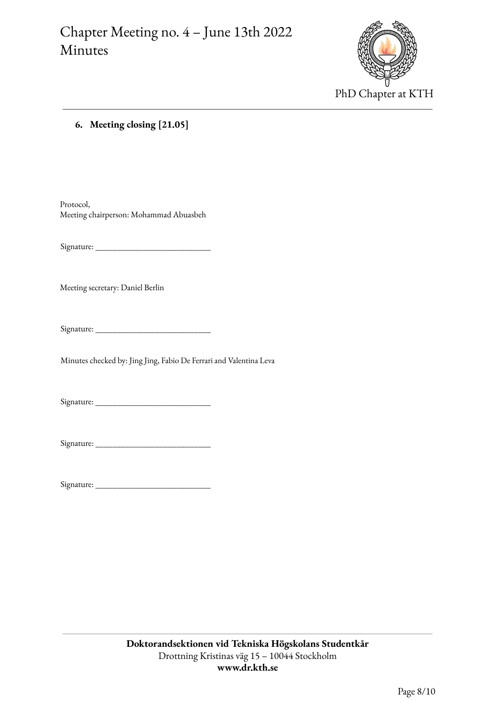

#### **6. Meeting closing [21.05]**

Protocol, Meeting chairperson: Mohammad Abuasbeh

Signature: \_\_\_\_\_\_\_\_\_\_\_\_\_\_\_\_\_\_\_\_\_\_\_\_\_\_\_

Meeting secretary: Daniel Berlin

Signature: \_\_\_\_\_\_\_\_\_\_\_\_\_\_\_\_\_\_\_\_\_\_\_\_\_\_\_

Minutes checked by: Jing Jing, Fabio De Ferrari and Valentina Leva

Signature: \_\_\_\_\_\_\_\_\_\_\_\_\_\_\_\_\_\_\_\_\_\_\_\_\_\_\_

Signature: \_\_\_\_\_\_\_\_\_\_\_\_\_\_\_\_\_\_\_\_\_\_\_\_\_\_\_

Signature: \_\_\_\_\_\_\_\_\_\_\_\_\_\_\_\_\_\_\_\_\_\_\_\_\_\_\_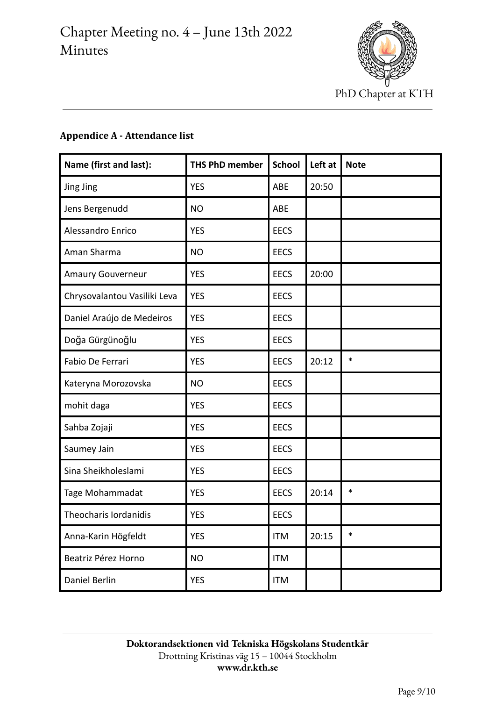

# **Appendice A - Attendance list**

| Name (first and last):       | <b>THS PhD member</b> | <b>School</b> | Left at | <b>Note</b> |
|------------------------------|-----------------------|---------------|---------|-------------|
| Jing Jing                    | <b>YES</b>            | ABE           | 20:50   |             |
| Jens Bergenudd               | <b>NO</b>             | <b>ABE</b>    |         |             |
| Alessandro Enrico            | <b>YES</b>            | <b>EECS</b>   |         |             |
| Aman Sharma                  | <b>NO</b>             | <b>EECS</b>   |         |             |
| <b>Amaury Gouverneur</b>     | <b>YES</b>            | <b>EECS</b>   | 20:00   |             |
| Chrysovalantou Vasiliki Leva | <b>YES</b>            | <b>EECS</b>   |         |             |
| Daniel Araújo de Medeiros    | <b>YES</b>            | <b>EECS</b>   |         |             |
| Doğa Gürgünoğlu              | <b>YES</b>            | <b>EECS</b>   |         |             |
| Fabio De Ferrari             | <b>YES</b>            | <b>EECS</b>   | 20:12   | $\ast$      |
| Kateryna Morozovska          | <b>NO</b>             | <b>EECS</b>   |         |             |
| mohit daga                   | <b>YES</b>            | <b>EECS</b>   |         |             |
| Sahba Zojaji                 | <b>YES</b>            | <b>EECS</b>   |         |             |
| Saumey Jain                  | <b>YES</b>            | <b>EECS</b>   |         |             |
| Sina Sheikholeslami          | <b>YES</b>            | <b>EECS</b>   |         |             |
| Tage Mohammadat              | <b>YES</b>            | <b>EECS</b>   | 20:14   | $\ast$      |
| Theocharis Iordanidis        | <b>YES</b>            | <b>EECS</b>   |         |             |
| Anna-Karin Högfeldt          | <b>YES</b>            | <b>ITM</b>    | 20:15   | $\ast$      |
| Beatriz Pérez Horno          | <b>NO</b>             | <b>ITM</b>    |         |             |
| Daniel Berlin                | <b>YES</b>            | ITM           |         |             |